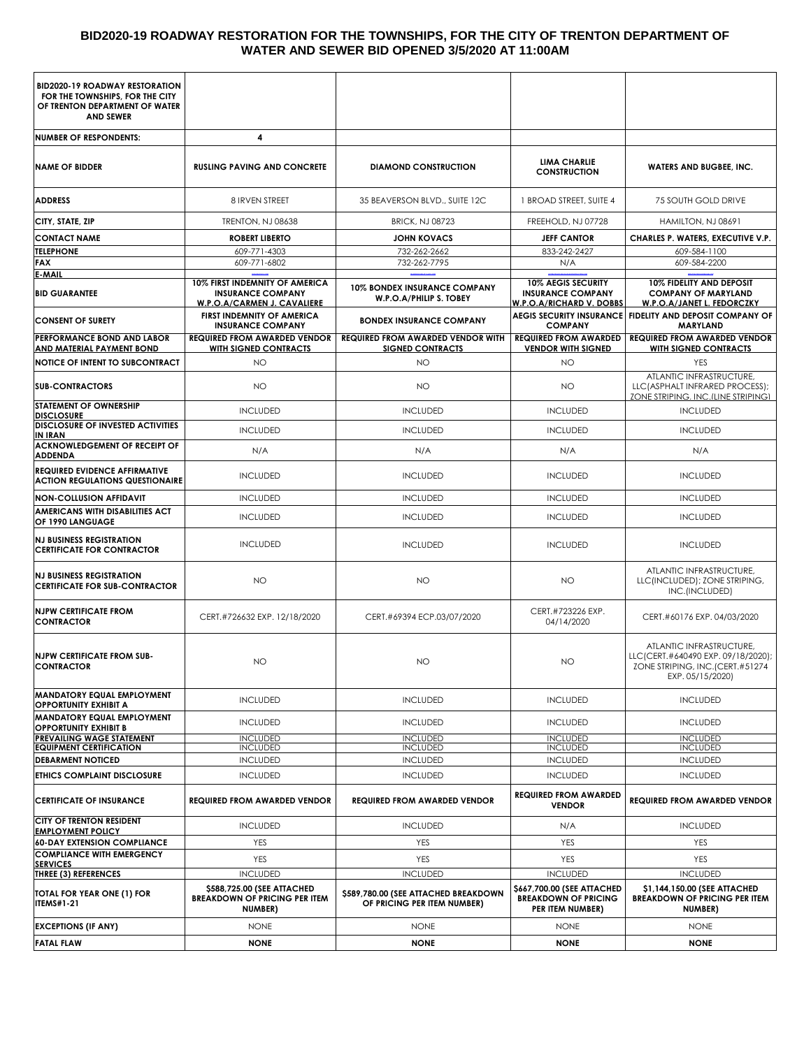#### **BID2020-19 ROADWAY RESTORATION FOR THE TOWNSHIPS, FOR THE CITY OF TRENTON DEPARTMENT OF WATER AND SEWER BID OPENED 3/5/2020 AT 11:00AM**

| <b>BID2020-19 ROADWAY RESTORATION</b><br>FOR THE TOWNSHIPS, FOR THE CITY<br>OF TRENTON DEPARTMENT OF WATER<br><b>AND SEWER</b> |                                                                                           |                                                                     |                                                                                   |                                                                                                                       |
|--------------------------------------------------------------------------------------------------------------------------------|-------------------------------------------------------------------------------------------|---------------------------------------------------------------------|-----------------------------------------------------------------------------------|-----------------------------------------------------------------------------------------------------------------------|
| <b>NUMBER OF RESPONDENTS:</b>                                                                                                  | 4                                                                                         |                                                                     |                                                                                   |                                                                                                                       |
| <b>NAME OF BIDDER</b>                                                                                                          | <b>RUSLING PAVING AND CONCRETE</b>                                                        | <b>DIAMOND CONSTRUCTION</b>                                         | <b>LIMA CHARLIE</b><br><b>CONSTRUCTION</b>                                        | <b>WATERS AND BUGBEE, INC.</b>                                                                                        |
| <b>ADDRESS</b>                                                                                                                 | 8 IRVEN STREET                                                                            | 35 BEAVERSON BLVD., SUITE 12C                                       | 1 BROAD STREET, SUITE 4                                                           | 75 SOUTH GOLD DRIVE                                                                                                   |
| CITY, STATE, ZIP                                                                                                               | TRENTON, NJ 08638                                                                         | <b>BRICK, NJ 08723</b>                                              | FREEHOLD, NJ 07728                                                                | HAMILTON, NJ 08691                                                                                                    |
| <b>CONTACT NAME</b>                                                                                                            | <b>ROBERT LIBERTO</b>                                                                     | <b>JOHN KOVACS</b>                                                  | <b>JEFF CANTOR</b>                                                                | CHARLES P. WATERS, EXECUTIVE V.P.                                                                                     |
| <b>TELEPHONE</b>                                                                                                               | 609-771-4303                                                                              | 732-262-2662                                                        | 833-242-2427                                                                      | 609-584-1100                                                                                                          |
| <b>FAX</b><br><b>E-MAIL</b>                                                                                                    | 609-771-6802                                                                              | 732-262-7795                                                        | N/A                                                                               | 609-584-2200                                                                                                          |
| <b>BID GUARANTEE</b>                                                                                                           | 10% FIRST INDEMNITY OF AMERICA<br><b>INSURANCE COMPANY</b><br>W.P.O.A/CARMEN J. CAVALIERE | <b>10% BONDEX INSURANCE COMPANY</b><br>W.P.O.A/PHILIP S. TOBEY      | 10% AEGIS SECURITY<br><b>INSURANCE COMPANY</b><br><b>W.P.O.A/RICHARD V. DOBBS</b> | 10% FIDELITY AND DEPOSIT<br><b>COMPANY OF MARYLAND</b><br>W.P.O.A/JANET L. FEDORCZKY                                  |
| <b>CONSENT OF SURETY</b>                                                                                                       | FIRST INDEMNITY OF AMERICA<br><b>INSURANCE COMPANY</b>                                    | <b>BONDEX INSURANCE COMPANY</b>                                     | <b>COMPANY</b>                                                                    | AEGIS SECURITY INSURANCE FIDELITY AND DEPOSIT COMPANY OF<br><b>MARYLAND</b>                                           |
| PERFORMANCE BOND AND LABOR<br><b>AND MATERIAL PAYMENT BOND</b>                                                                 | <b>REQUIRED FROM AWARDED VENDOR</b><br><b>WITH SIGNED CONTRACTS</b>                       | <b>REQUIRED FROM AWARDED VENDOR WITH</b><br><b>SIGNED CONTRACTS</b> | <b>REQUIRED FROM AWARDED</b><br><b>VENDOR WITH SIGNED</b>                         | <b>REQUIRED FROM AWARDED VENDOR</b><br><b>WITH SIGNED CONTRACTS</b>                                                   |
| <b>NOTICE OF INTENT TO SUBCONTRACT</b>                                                                                         | NO.                                                                                       | NO                                                                  | <b>NO</b>                                                                         | <b>YES</b>                                                                                                            |
| <b>SUB-CONTRACTORS</b>                                                                                                         | <b>NO</b>                                                                                 | NO                                                                  | <b>NO</b>                                                                         | ATLANTIC INFRASTRUCTURE,<br>LLC(ASPHALT INFRARED PROCESS);<br>ZONE STRIPING, INC. (LINE STRIPING)                     |
| <b>STATEMENT OF OWNERSHIP</b><br><b>DISCLOSURE</b>                                                                             | <b>INCLUDED</b>                                                                           | <b>INCLUDED</b>                                                     | <b>INCLUDED</b>                                                                   | <b>INCLUDED</b>                                                                                                       |
| <b>DISCLOSURE OF INVESTED ACTIVITIES</b><br><b>IN IRAN</b>                                                                     | <b>INCLUDED</b>                                                                           | <b>INCLUDED</b>                                                     | <b>INCLUDED</b>                                                                   | <b>INCLUDED</b>                                                                                                       |
| <b>ACKNOWLEDGEMENT OF RECEIPT OF</b><br><b>ADDENDA</b>                                                                         | N/A                                                                                       | N/A                                                                 | N/A                                                                               | N/A                                                                                                                   |
| <b>REQUIRED EVIDENCE AFFIRMATIVE</b><br><b>ACTION REGULATIONS QUESTIONAIRE</b>                                                 | <b>INCLUDED</b>                                                                           | <b>INCLUDED</b>                                                     | <b>INCLUDED</b>                                                                   | <b>INCLUDED</b>                                                                                                       |
| <b>NON-COLLUSION AFFIDAVIT</b>                                                                                                 | <b>INCLUDED</b>                                                                           | <b>INCLUDED</b>                                                     | <b>INCLUDED</b>                                                                   | <b>INCLUDED</b>                                                                                                       |
| AMERICANS WITH DISABILITIES ACT<br>OF 1990 LANGUAGE                                                                            | <b>INCLUDED</b>                                                                           | <b>INCLUDED</b>                                                     | <b>INCLUDED</b>                                                                   | <b>INCLUDED</b>                                                                                                       |
| <b>NJ BUSINESS REGISTRATION</b><br><b>CERTIFICATE FOR CONTRACTOR</b>                                                           | <b>INCLUDED</b>                                                                           | <b>INCLUDED</b>                                                     | <b>INCLUDED</b>                                                                   | <b>INCLUDED</b>                                                                                                       |
| <b>NJ BUSINESS REGISTRATION</b><br><b>CERTIFICATE FOR SUB-CONTRACTOR</b>                                                       | NO                                                                                        | <b>NO</b>                                                           | <b>NO</b>                                                                         | ATLANTIC INFRASTRUCTURE,<br>LLC(INCLUDED); ZONE STRIPING,<br>INC.(INCLUDED)                                           |
| <b>NJPW CERTIFICATE FROM</b><br><b>CONTRACTOR</b>                                                                              | CERT.#726632 EXP. 12/18/2020                                                              | CERT.#69394 ECP.03/07/2020                                          | CERT.#723226 EXP.<br>04/14/2020                                                   | CERT.#60176 EXP. 04/03/2020                                                                                           |
| <b>NJPW CERTIFICATE FROM SUB-</b><br><b>CONTRACTOR</b>                                                                         | <b>NO</b>                                                                                 | ΝO                                                                  | NO.                                                                               | ATLANTIC INFRASTRUCTURE,<br>LLC(CERT.#640490 EXP. 09/18/2020);<br>ZONE STRIPING, INC.(CERT.#51274<br>EXP. 05/15/2020) |
| <b>MANDATORY EQUAL EMPLOYMENT</b><br><b>OPPORTUNITY EXHIBIT A</b>                                                              | <b>INCLUDED</b>                                                                           | <b>INCLUDED</b>                                                     | <b>INCLUDED</b>                                                                   | <b>INCLUDED</b>                                                                                                       |
| <b>MANDATORY EQUAL EMPLOYMENT</b><br><b>OPPORTUNITY EXHIBIT B</b>                                                              | <b>INCLUDED</b>                                                                           | <b>INCLUDED</b>                                                     | <b>INCLUDED</b>                                                                   | <b>INCLUDED</b>                                                                                                       |
| PREVAILING WAGE STATEMENT                                                                                                      | <b>INCLUDED</b>                                                                           | <b>INCLUDED</b>                                                     | <b>INCLUDED</b>                                                                   | <b>INCLUDED</b>                                                                                                       |
| <b>EQUIPMENT CERTIFICATION</b><br><b>DEBARMENT NOTICED</b>                                                                     | <b>INCLUDED</b><br><b>INCLUDED</b>                                                        | <b>INCLUDED</b><br><b>INCLUDED</b>                                  | <b>INCLUDED</b><br><b>INCLUDED</b>                                                | <b>INCLUDED</b><br><b>INCLUDED</b>                                                                                    |
| ETHICS COMPLAINT DISCLOSURE                                                                                                    | <b>INCLUDED</b>                                                                           | <b>INCLUDED</b>                                                     | <b>INCLUDED</b>                                                                   | <b>INCLUDED</b>                                                                                                       |
| <b>CERTIFICATE OF INSURANCE</b>                                                                                                | <b>REQUIRED FROM AWARDED VENDOR</b>                                                       | <b>REQUIRED FROM AWARDED VENDOR</b>                                 | <b>REQUIRED FROM AWARDED</b><br><b>VENDOR</b>                                     | <b>REQUIRED FROM AWARDED VENDOR</b>                                                                                   |
| <b>CITY OF TRENTON RESIDENT</b>                                                                                                | <b>INCLUDED</b>                                                                           | <b>INCLUDED</b>                                                     | N/A                                                                               | <b>INCLUDED</b>                                                                                                       |
| <b>EMPLOYMENT POLICY</b><br><b>60-DAY EXTENSION COMPLIANCE</b>                                                                 | YES                                                                                       | YES                                                                 | <b>YES</b>                                                                        | YES                                                                                                                   |
| <b>COMPLIANCE WITH EMERGENCY</b>                                                                                               | YES                                                                                       | YES                                                                 | YES                                                                               | <b>YES</b>                                                                                                            |
| <b>SERVICES</b><br>THREE (3) REFERENCES                                                                                        | <b>INCLUDED</b>                                                                           | <b>INCLUDED</b>                                                     | <b>INCLUDED</b>                                                                   | <b>INCLUDED</b>                                                                                                       |
| TOTAL FOR YEAR ONE (1) FOR<br><b>ITEMS#1-21</b>                                                                                | \$588,725.00 (SEE ATTACHED<br><b>BREAKDOWN OF PRICING PER ITEM</b><br>NUMBER)             | \$589,780.00 (SEE ATTACHED BREAKDOWN<br>OF PRICING PER ITEM NUMBER) | \$667,700.00 (SEE ATTACHED<br><b>BREAKDOWN OF PRICING</b><br>PER ITEM NUMBER)     | \$1,144,150.00 (SEE ATTACHED<br><b>BREAKDOWN OF PRICING PER ITEM</b><br>NUMBER)                                       |
| <b>EXCEPTIONS (IF ANY)</b>                                                                                                     | <b>NONE</b>                                                                               | <b>NONE</b>                                                         | <b>NONE</b>                                                                       | <b>NONE</b>                                                                                                           |
| <b>FATAL FLAW</b>                                                                                                              | <b>NONE</b>                                                                               | <b>NONE</b>                                                         | <b>NONE</b>                                                                       | <b>NONE</b>                                                                                                           |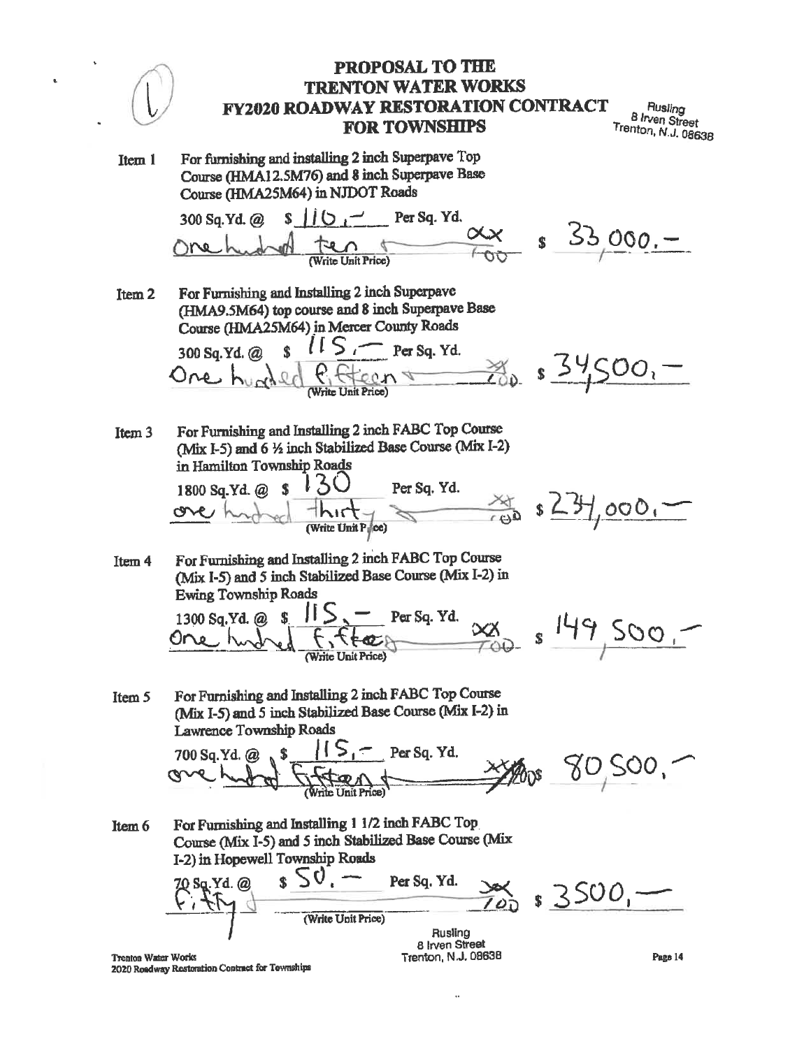Rusling **B** *Irven* Street Trenton, N.J. 08638

For furnishing and installing 2 inch Superpave Top Item 1 Course (HMA12.5M76) and 8 inch Superpave Base Course (HMA25M64) in NJDOT Roads

Per Sq. Yd. 300 Sq.Yd. @ S. Write Unit Price)

For Furnishing and Installing 2 inch Superpave Ttem<sub>2</sub> (HMA9.5M64) top course and 8 inch Superpave Base Course (HMA25M64) in Mercer County Roads

 $\frac{1}{s}$   $1s$   $\rightarrow$  Per Sq. Yd. 300 Sq.Yd. @  $\kappa$   $\kappa$   $\kappa$ 

 $53,000,-$ 

 $\mathbf{s}$ 

 $\frac{3}{100}$  s 34500,-

For Furnishing and Installing 2 inch FABC Top Course Item<sub>3</sub> (Mix I-5) and 6 1/2 inch Stabilized Base Course (Mix I-2) in Hamilton Township Roads

1800 Sq.Yd. @ \$ Per Sq. Yd. (Write Unit Price)

For Furnishing and Installing 2 inch FABC Top Course Item 4 (Mix I-5) and 5 inch Stabilized Base Course (Mix I-2) in **Ewing Township Roads** 

1300 Sq.Yd. @ Per Sq. Yd. Vrite Unit Price)

 $\frac{149500}{149500}$ 

For Furnishing and Installing 2 inch FABC Top Course Item 5 (Mix I-5) and 5 inch Stabilized Base Course (Mix I-2) in Lawrence Township Roads

> 700 Sq.Yd. @ XXXIDOS 80,500,

For Furnishing and Installing 1 1/2 inch FABC Top Item 6 Course (Mix I-5) and 5 inch Stabilized Base Course (Mix I-2) in Hopewell Township Roads

 $s > 0$ , -70 Sq.Yd. @ Per Sq. Yd.  $3500.$ (Write Unit Price) Rusling

**Trenton Water Works** 2020 Roadway Restoration Contract for Townships

8 Irven Street Trenton, N.J. 08638

 $\ddot{\phantom{a}}$ 

Page 14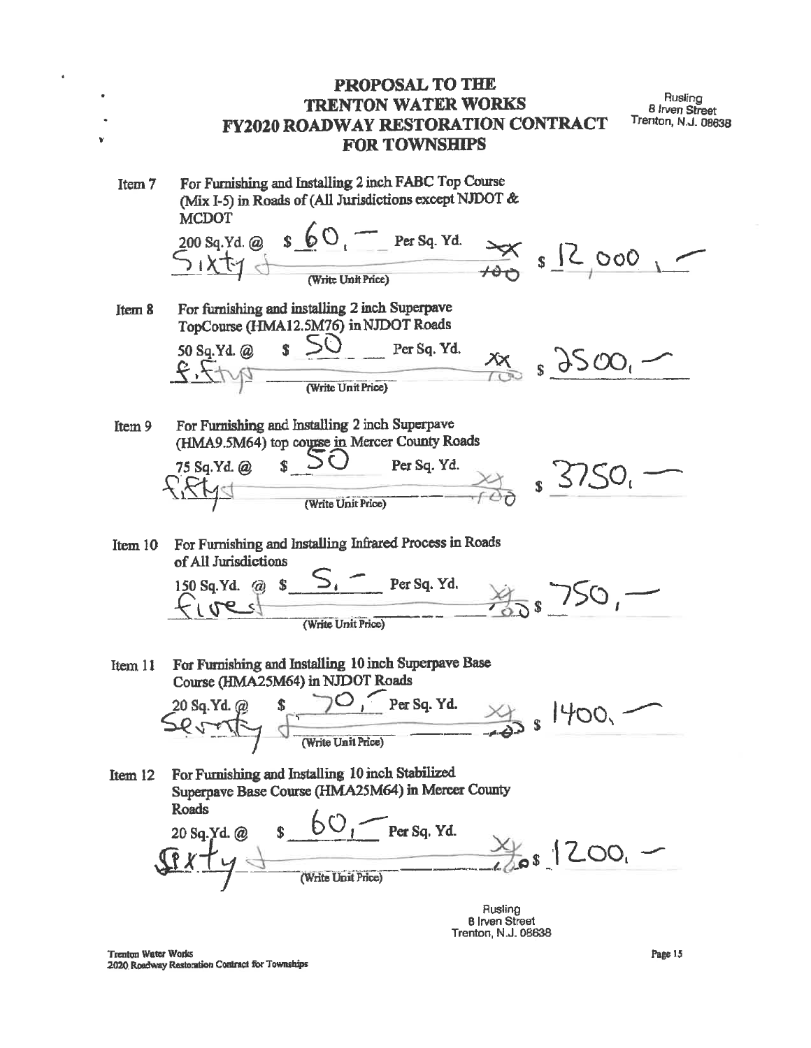PROPOSAL TO THE Rusling **TRENTON WATER WORKS** 8 Irven Street Trenton, N.J. 08638 **FY2020 ROADWAY RESTORATION CONTRACT FOR TOWNSHIPS** For Furnishing and Installing 2 inch FABC Top Course Item 7 (Mix I-5) in Roads of (All Jurisdictions except NJDOT & **MCDOT**  $\frac{200 \text{ sq.Yd. @ } s \not\in O}{\sqrt{1 \times t}}$  S  $\frac{1}{\sqrt{1 \times t}}$  S  $\frac{1}{\sqrt{1 \times t}}$  S  $\frac{1}{\sqrt{1 \times t}}$  O O O For furnishing and installing 2 inch Superpave Item 8 TopCourse (HMA12.5M76) in NJDOT Roads 50 Sq. Yd. @ \$ 50 Per Sq. Yd.  $(Write Unit Price)$  $x_1$  s  $3500$ For Furnishing and Installing 2 inch Superpave Item 9 (HMA9.5M64) top course in Mercer County Roads 75 Sq.Yd. @  $\sim$ Per Sq. Yd.  $\frac{1}{\sqrt{10}}$  s  $5750$ (Write Unit Price) For Furnishing and Installing Infrared Process in Roads Item 10 of All Jurisdictions  $S_i$  Persq. Yd.<br> $\frac{1}{2}\sqrt{50}$ 150 Sq.Yd. @ \$ (Write Unit Price) For Furnishing and Installing 10 inch Superpave Base Item 11 Course (HMA25M64) in NJDOT Roads 20 Sq. Yd. @ \$ 70, Per Sq. Yd.  $\leq Q$  + + (Vrite Unit Price) For Furnishing and Installing 10 inch Stabilized Item 12 Superpave Base Course (HMA25M64) in Mercer County 20 Sq. Yd. @  $s = 60$ , Per Sq. Yd.<br> $\frac{80}{400}$  (Write Unit Price) Roads Rusling

**B** Irven Street Trenton, N.J. 08638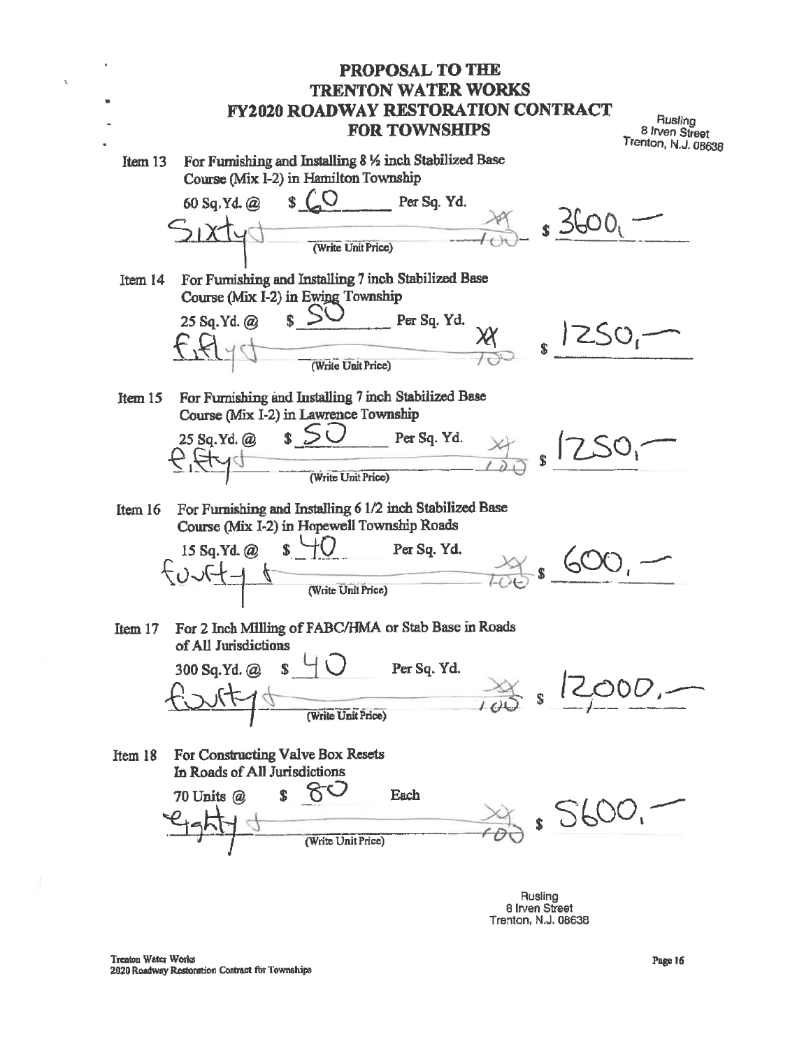**PROPOSAL TO THE TRENTON WATER WORKS FY2020 ROADWAY RESTORATION CONTRACT** Rusling **FOR TOWNSHIPS** 8 Irven Street Trenton, N.J. 08638 For Furnishing and Installing 8 % inch Stabilized Base Item 13 Course (Mix I-2) in Hamilton Township 60 Sq.Yd. @ Per Sq. Yd.  $\frac{1000}{1000}$  s 3600 (Write Unit Price) For Furnishing and Installing 7 inch Stabilized Base Item 14 Course (Mix I-2) in Ewing Township 25 Sq.Yd. @ Per Sq. Yd.  $1250 \frac{\lambda x}{\lambda}$  $\mathbf{s}$ (Write Unit Price) For Furnishing and Installing 7 inch Stabilized Base Item  $15$ Course (Mix I-2) in Lawrence Township  $s > c$ 25 So. Yd. @ Per Sq. Yd.  $\frac{\chi}{\chi}$  $s \downharpoonright C$ (Write Unit Price) For Furnishing and Installing 6 1/2 inch Stabilized Base Item 16 Course (Mix I-2) in Hopewell Township Roads  $S^{\perp}$  $15$  Sq.Yd.  $@$ Per Sq. Yd.  $5.600$  $\begin{array}{c} \begin{array}{c} \text{if } \mathbf{r} \in \mathbb{R}^n, \mathbf{r} \in \mathbb{R}^n, \mathbf{r} \in \mathbb{R}^n, \mathbf{r} \in \mathbb{R}^n, \mathbf{r} \in \mathbb{R}^n, \mathbf{r} \in \mathbb{R}^n, \mathbf{r} \in \mathbb{R}^n, \mathbf{r} \in \mathbb{R}^n, \mathbf{r} \in \mathbb{R}^n, \mathbf{r} \in \mathbb{R}^n, \mathbf{r} \in \mathbb{R}^n, \mathbf{r} \in \mathbb{R}$ (Write Unit Price) For 2 Inch Milling of FABC/HMA or Stab Base in Roads Item 17 of All Jurisdictions 300 Sq.Yd. @ S Per Sq. Yd.  $\frac{1}{\sqrt{2}}$  s 12 O0D,-(Write Unit Price) For Constructing Valve Box Resets Item 18 In Roads of All Jurisdictions 80 70 Units @ \$ Each  $30400$ (Write Unit Price)

Rusling 8 Irven Street Trenton, N.J. 08638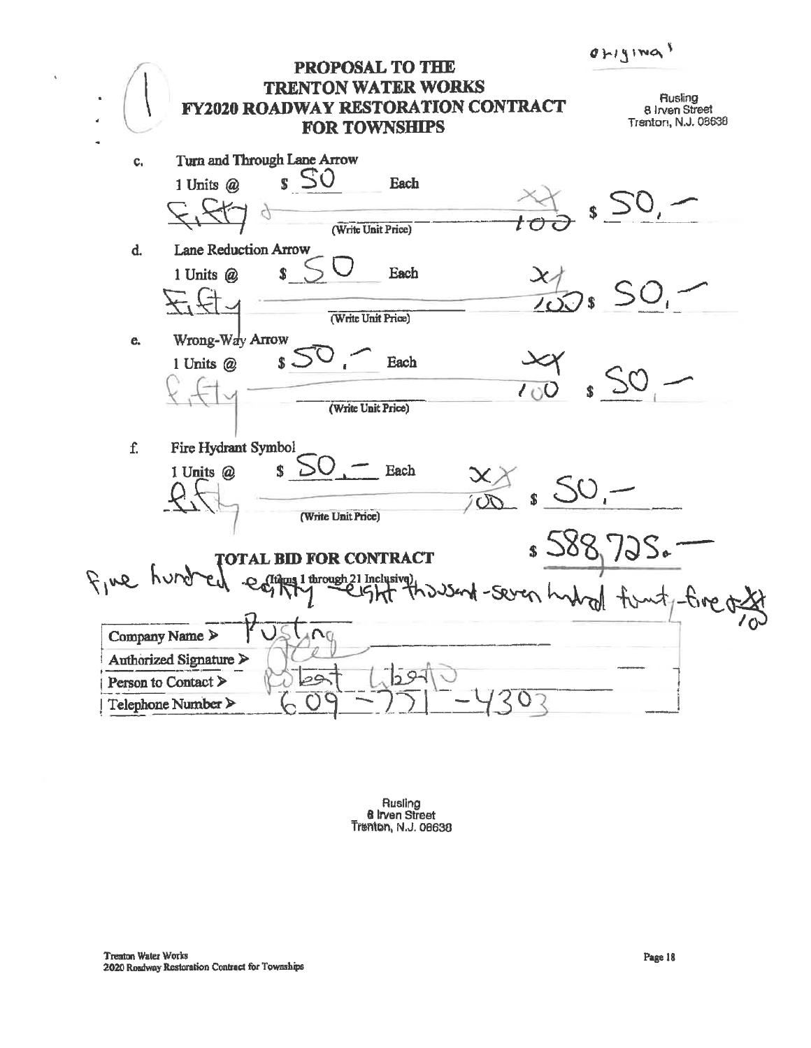$d$ *H*ging<sup>s</sup>

| . .<br><b>PROPOSAL TO THE</b><br><b>TON WATER WORKS</b><br>TREN<br><b>FY2020 ROADWAY RESTORATION CONTRACT</b><br><b>FOR TOWNSHIPS</b> | لۍ<br>Rusling<br>8 Irven Street<br>Trenton, N.J. 08638 |
|---------------------------------------------------------------------------------------------------------------------------------------|--------------------------------------------------------|
| Turn and Through Lane Arrow<br>c,                                                                                                     |                                                        |
| $\boldsymbol{s}$ SO<br>1 Units $@$<br>Each                                                                                            |                                                        |
| (Write Unit Price)                                                                                                                    |                                                        |
| <b>Lane Reduction Arrow</b><br>d.                                                                                                     |                                                        |
| $\overline{\mathbf{S}}$<br>1 Units @<br>Each                                                                                          |                                                        |
| (Write Unit Price)                                                                                                                    |                                                        |
| Wrong-Way Arrow<br>e.                                                                                                                 |                                                        |
| Each<br>$s -$<br>1 Units @                                                                                                            |                                                        |
| (Write Unit Price)                                                                                                                    |                                                        |
| f.<br>Fire Hydrant Symbol                                                                                                             |                                                        |
| $\mathbf{s}$<br>$\overline{\phantom{a}}$ Each<br>1 Units @                                                                            |                                                        |
| (Write Unit Price)                                                                                                                    |                                                        |
| <b>TOTAL BID FOR CONTRACT</b>                                                                                                         | 1929                                                   |
| $F_1$ we hi<br>C (Items 1 through 21 Inclusive)<br>$-Seven$                                                                           |                                                        |
| Company Name ><br>Authorized Signature ><br>$59 -$<br>أجوط<br>Person to Contact ><br>Telephone Number                                 |                                                        |

Rusling<br>**8 Irven Street**<br>Trenton, N.J. 08638

 $\hat{\mathcal{A}}$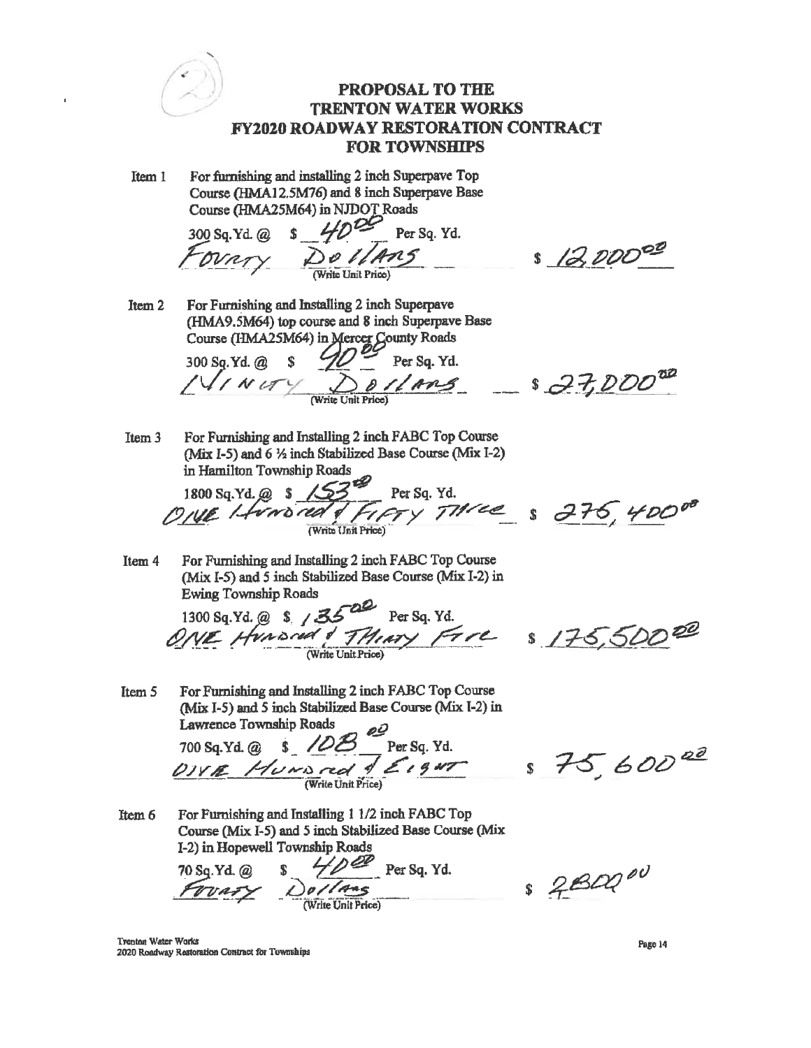**PROPOSAL TO THE TRENTON WATER WORKS FY2020 ROADWAY RESTORATION CONTRACT FOR TOWNSHIPS** For furnishing and installing 2 inch Superpaye Top Item 1 Course (HMA12.5M76) and 8 inch Superpave Base Course (HMA25M64) in NJDOT Roads Course (Figures 1994)<br>300 Sq. Yd. @ \$ 40<sup>09</sup> Per Sq. Yd.<br>FOVRTY DO VANS \$ 12,00000 For Furnishing and Installing 2 inch Superpave Item<sub>2</sub> (HMA9.5M64) top course and 8 inch Superpave Base Course (HMA25M64) in Mercer County Roads 300 Sq. Yd. @ \$  $\frac{10000}{\text{Per Sq. Yd}}$ <br> $\frac{10000}{\text{Per Sq. Yd}}$  = \$  $77000$ Item 3 For Furnishing and Installing 2 inch FABC Top Course (Mix I-5) and 6 1/2 inch Stabilized Base Course (Mix I-2) in Hamilton Township Roads 1800 Sq. Yd. @ \$ 153 Per Sq. Yd.<br>ONE Levero red of FIFTY Three \$ 276, 40000 For Furnishing and Installing 2 inch FABC Top Course Item 4 (Mix I-5) and 5 inch Stabilized Base Course (Mix I-2) in **Ewing Township Roads** 1300 Sq. Yd. @ \$ 13500 Per Sq. Yd.<br>ONE Hunsind & THIRTY FIRE \$ 175,50000

For Furnishing and Installing 2 inch FABC Top Course Item 5 (Mix I-5) and 5 inch Stabilized Base Course (Mix I-2) in Lawrence Township Roads

700 Sq. Yd. @ \$ 10B Per Sq. Yd.<br>  $\frac{D}{W}$  Per Sq. Yd.<br>  $\frac{D}{W}$  S 75, 600<sup>00</sup>

For Furnishing and Installing 1 1/2 inch FABC Top Item 6 Course (Mix I-5) and 5 inch Stabilized Base Course (Mix 1-2) in Hopewell Township Roads

 $70$  Sq. Yd. @ \$  $40$  Per Sq. Yd.<br>  $70$  Yd. @ \$  $40$  Per Sq. Yd.

 $$2B00^{\circ\circ}$ 

**Trenton Water Works** 2020 Roadway Restoration Contract for Townships

Page 14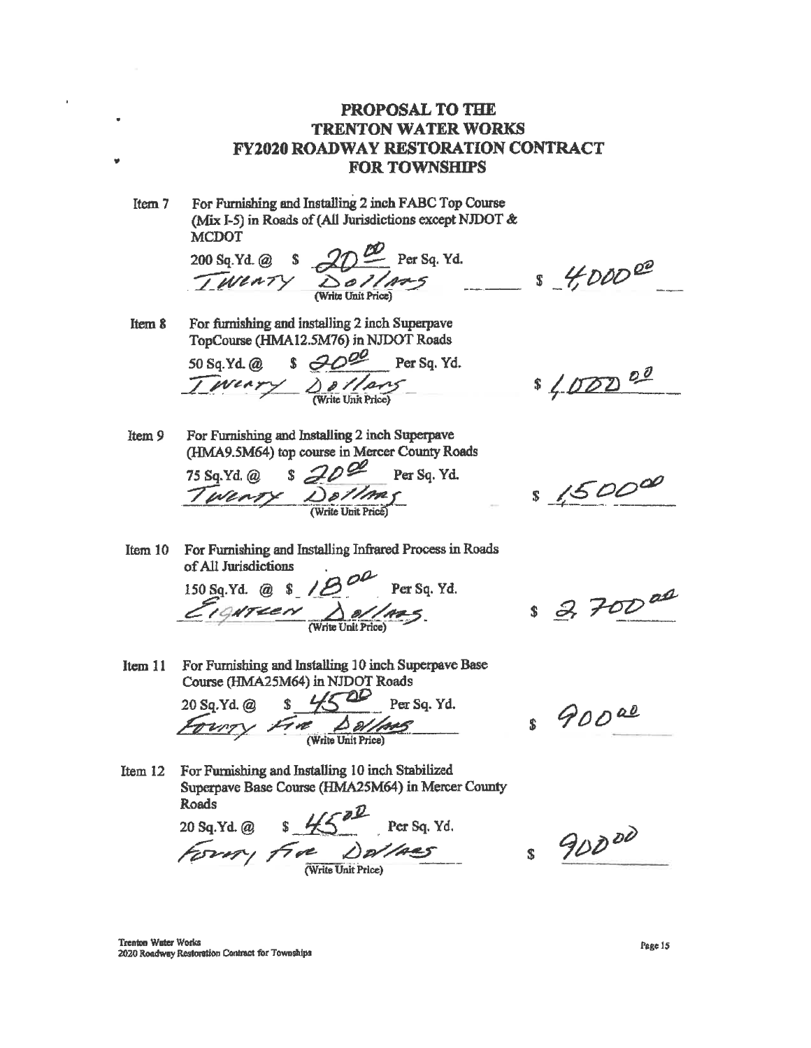Item 7 For Furnishing and Installing 2 inch FABC Top Course (Mix I-5) in Roads of (All Jurisdictions except NJDOT & **MCDOT** 

 $200 \text{ Sq.Yd.} @S$ <br> $200 \text{ Sq.Yd.} @S$ <br> $200 \text{ Sq.Yd.} @S$ 

For furnishing and installing 2 inch Superpave Item 8 TopCourse (HMA12.5M76) in NJDOT Roads

 $50$  Sq.Yd.@ \$  $\frac{\partial O^2}{\partial t}$  Per Sq.Yd.<br> $\frac{1}{\sqrt{1-\frac{1}{t}}}\frac{\partial C}{\partial t}$ 

Item 9 For Furnishing and Installing 2 inch Superpave (HMA9.5M64) top course in Mercer County Roads

75 Sq. Yd. @ \$ 20  $\frac{20}{\sqrt{2}}$  Per Sq. Yd.

Item 10 For Furnishing and Installing Infrared Process in Roads of All Jurisdictions

150 Sq. Yd. @ \$ 18. Per Sq. Yd.

Course (HMA25M64) in NJDOT Roads

 $s \ncong 700^{ad}$ Item 11 For Furnishing and Installing 10 inch Superpave Base

 $8900a$ 

Item 12 For Furnishing and Installing 10 inch Stabilized Superpave Base Course (HMA25M64) in Mercer County **Roads** 

20 Sq. Yd. @  $\frac{8.4500}{40000}$  Per Sq. Yd.

 $\frac{20 \text{ sq.Yd. @ } s \cancel{452}}{\cancel{52227}} \text{ Per Sq. Yd.}$ 

 $89000$ 

Trenton Water Works 2020 Roadway Restoration Contract for Townships

 $$40000$ 

\$ 400000

 $$1500^{\circ}$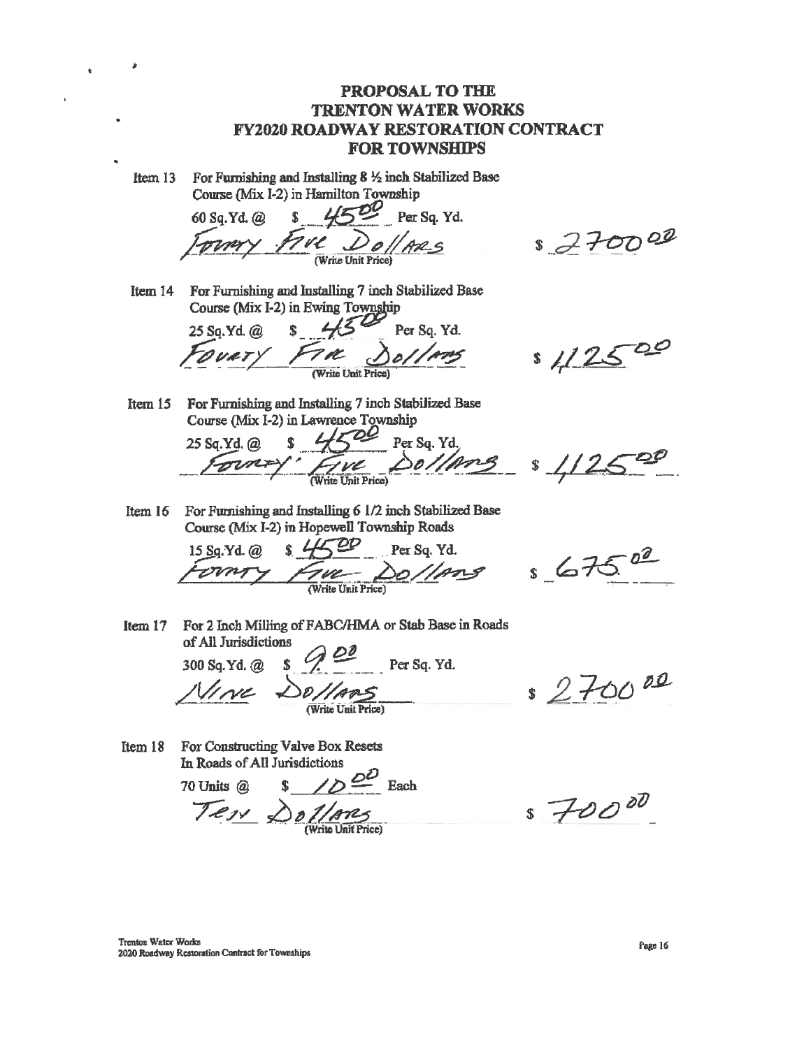For Furnishing and Installing  $8\frac{1}{2}$  inch Stabilized Base Item 13 Course (Mix 1-2) in Hamilton Township

 $4500$ Per Sq. Yd. 60 Sq.Yd. @  $\mathbf{\hat{x}}$ TVC Dollars

 $$770002$ 

Item 14 For Furnishing and Installing 7 inch Stabilized Base Course (Mix I-2) in Ewing Township

25 Sq.Yd. @  $\mathbf{s}$ Per Sq. Yd.

 $1/25$ 

Item 15 For Furnishing and Installing 7 inch Stabilized Base Course (Mix I-2) in Lawrence Township

 $\mathcal L$ Per Sq. Yd. 25 Sq.Yd. @ **Fwe**<br>Write Unit Price Dollang

\$

For Furnishing and Installing 6 1/2 inch Stabilized Base Item  $16$ Course (Mix I-2) in Hopewell Township Roads

 $\mathbf{s}$   $\mathbf{L}$ 15 Sq. Yd. @ Per Sq. Yd. Write Unit Price)

 $s67522$ 

Item  $17$ For 2 Inch Milling of FABC/HMA or Stab Base in Roads of All Jurisdictions

Per Sq. Yd. 300 Sq.Yd. @

For Constructing Valve Box Resets Item 18 In Roads of All Jurisdictions

 $\sqrt{D}$  Each 70 Units @ Tess Dollares

\$ 270000

 $s70000$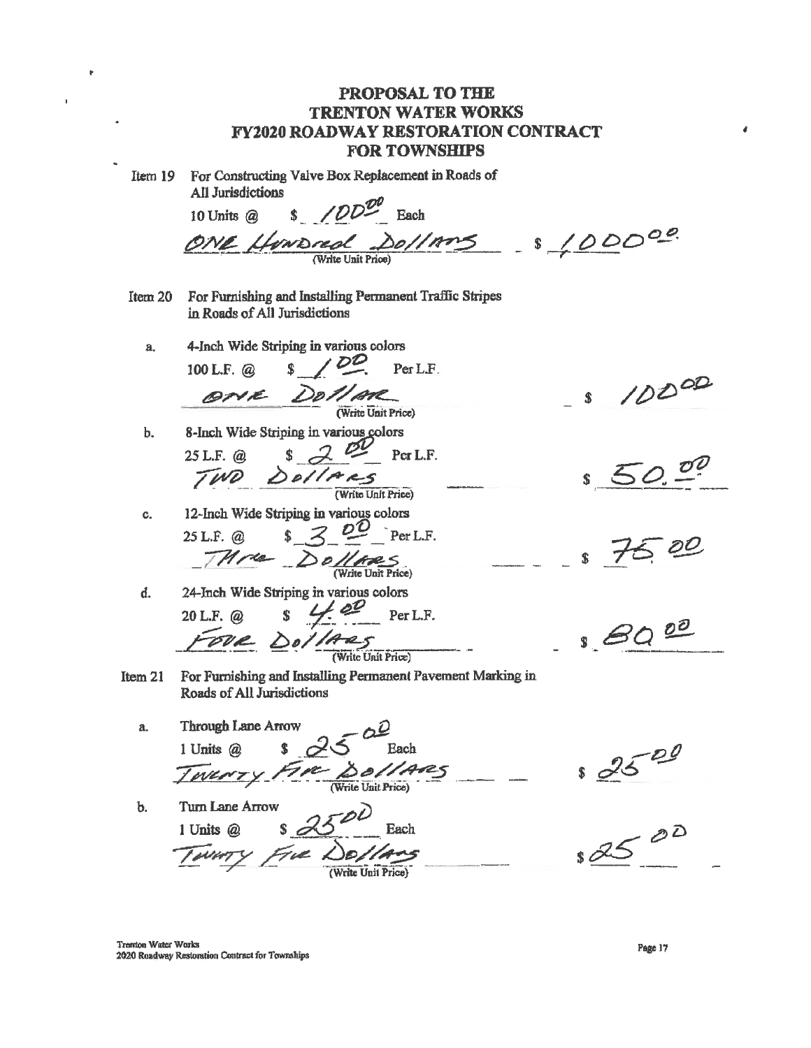PROPOSAL TO THE **TRENTON WATER WORKS FY2020 ROADWAY RESTORATION CONTRACT FOR TOWNSHIPS** For Constructing Valve Box Replacement in Roads of Item 19 All Jurisdictions  $$$  /DD<sup>DV</sup> Each 10 Units @  $-0.5/000000$ ONE HUNDRED DO//AMS For Furnishing and Installing Permanent Traffic Stripes Item 20 in Roads of All Jurisdictions 4-Inch Wide Striping in various colors  $\mathbf{a}$  $5/02$ Per L.F. 100 L.F.  $@$  $10000$ ANE DOLLAR S. (Write Unit Price) 8-Inch Wide Striping in various colors  $<sub>b</sub>$ .</sub>  $25$ L.F. @  $\frac{2}{\sqrt{100}}$   $\frac{200}{\sqrt{100}}$   $\frac{200}{\sqrt{100}}$  $rac{1}{\sqrt{1-\frac{1}{2}}}$ (Write Unit Price) 12-Inch Wide Striping in various colors  $C_{n}$  $\sqrt{3}$   $\frac{20}{\pi}$   $\frac{1}{\pi}$   $\frac{1}{\pi}$  $25$  L.F.  $\omega$ THree Dollars d. 24-Inch Wide Striping in various colors  $\overline{CUL}$  S  $\overline{CUL}$  Per L.F.<br>  $\overline{CUL}$   $\overline{O}$   $\overline{O}$   $\overline{O}$   $\overline{O}$   $\overline{O}$   $\overline{O}$   $\overline{O}$   $\overline{O}$   $\overline{O}$   $\overline{O}$   $\overline{O}$   $\overline{O}$   $\overline{O}$   $\overline{O}$   $\overline{O}$   $\overline{O}$   $\overline{O}$   $\overline{O}$   $\overline{O}$   $\overline{O}$  $20$  L.F.  $\omega$  $8000$ For Furnishing and Installing Permanent Pavement Marking in Item 21 Roads of All Jurisdictions **Through Lane Arrow** a.  $\frac{2520}{100}$ \$ Each 1 Units @ Sollars INVNTY FIRE Turn Lane Arrow Ⴆ. Each 1 Units @ WHTY FIVE DOLLARS

á.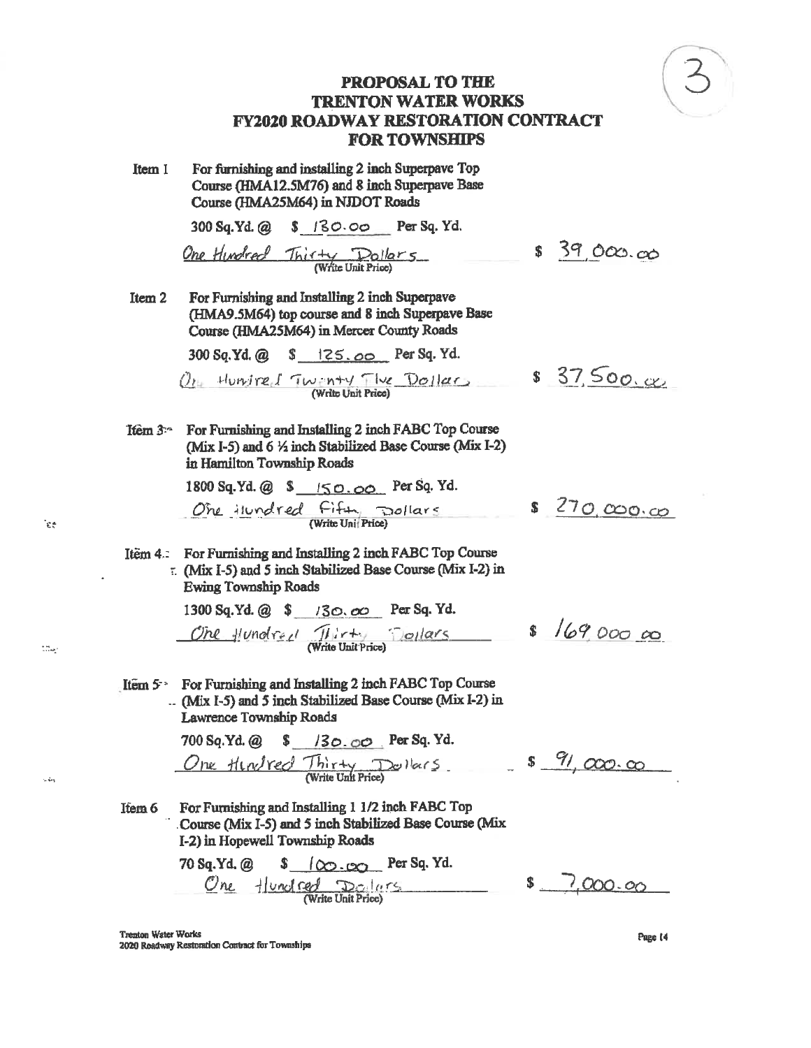

For furnishing and installing 2 inch Superpave Top Item 1 Course (HMA12.5M76) and 8 inch Superpave Base Course (HMA25M64) in NJDOT Roads

300 Sq.Yd. @ \$ 130.00 Per Sq. Yd.

One Hundred Thirty Dollars

For Furnishing and Installing 2 inch Superpave Item<sub>2</sub> (HMA9.5M64) top course and 8 inch Superpave Base Course (HMA25M64) in Mercer County Roads

300 Sq.Yd. @ \$ 125.00 Per Sq. Yd.

Of Hurrise I Twinty The Dollar

For Furnishing and Installing 2 inch FABC Top Course  $Item 3 -$ (Mix I-5) and  $6\frac{1}{2}$  inch Stabilized Base Course (Mix I-2) in Hamilton Township Roads

1800 Sq. Yd. @ \$ 150.00 Per Sq. Yd. One ilundred Fifty pollars

 $$270,000,00$ 

 $8 / 690000$ 

 $$39,000,00$ 

 $$37.500.x$ 

Item 4.: For Furnishing and Installing 2 inch FABC Top Course :. (Mix I-5) and 5 inch Stabilized Base Course (Mix I-2) in **Ewing Township Roads** 

> 1300 Sq.Yd. @ \$ /30.00 Per Sq. Yd. One flundred Thirty Dollars

Item  $5^{\circ}$  For Furnishing and Installing 2 inch FABC Top Course .. (Mix I-5) and 5 inch Stabilized Base Course (Mix I-2) in Lawrence Township Roads

700 Sq.Yd. @ \$ /30.00 Per Sq. Yd. One Hindred Thirty Dollars \$ 91,000.00

For Furnishing and Installing 1 1/2 inch FABC Top Item 6 Course (Mix I-5) and 5 inch Stabilized Base Course (Mix I-2) in Hopewell Township Roads

70 Sq.Yd, @  $\frac{1}{2}$  ( $\infty$  .  $\infty$  Per Sq. Yd. One Hundred Dolars  $$7,000.00$ 

Trenton Water Works 2020 Roadway Restoration Contract for Townships

 $\epsilon^*$ 

 $\mathbb{Z} \mathbb{Z}_{\geq 0}$ 

ومكانية

Page 14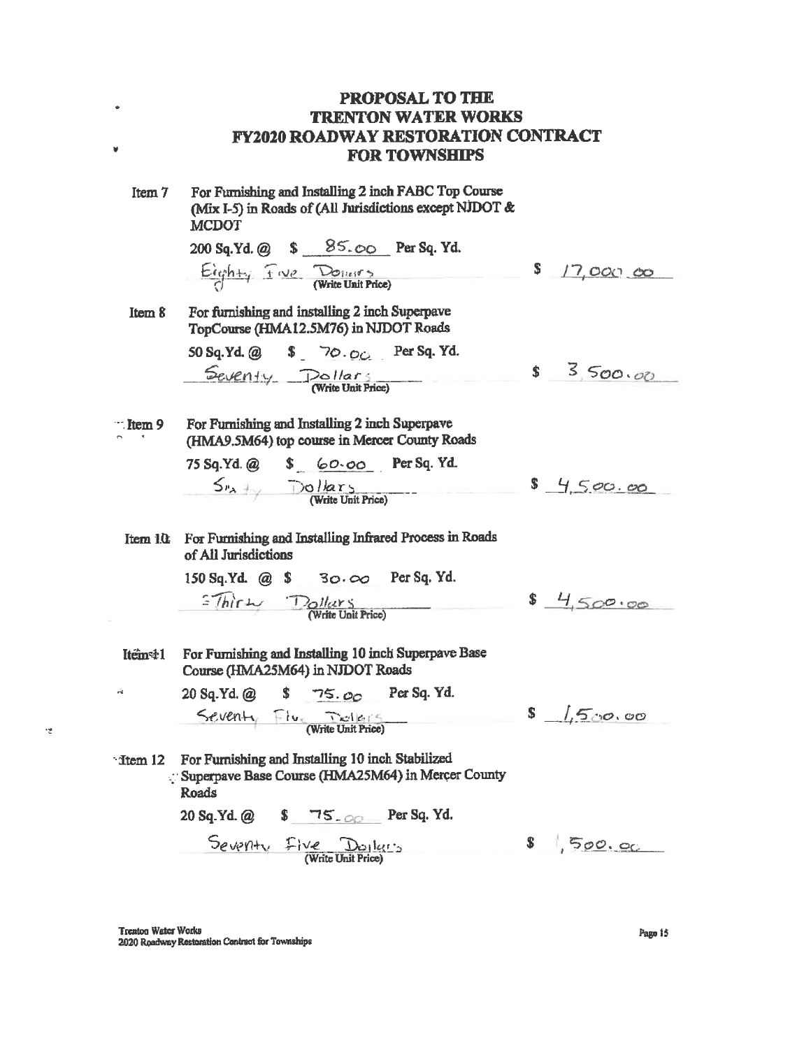For Furnishing and Installing 2 inch FABC Top Course Item 7 (Mix I-5) in Roads of (All Jurisdictions except NJDOT & **MCDOT** 200 Sq.Yd. @ \$ 85.00 Per Sq. Yd.  $\xrightarrow{\text{Graph}+q}$   $f(y) = \text{Point space}$ S. 17,000 00 For furnishing and installing 2 inch Superpave Item & TopCourse (HMA12.5M76) in NJDOT Roads 50 Sq. Yd. @ \$ 70.00 Per Sq. Yd. Seventy Pollars  $$3500.00$ For Furnishing and Installing 2 inch Superpave  $\mathbb{R}$  Item 9 (HMA9.5M64) top course in Mercer County Roads 75 Sq. Yd. @ \$ 60.00 Per Sq. Yd.<br> $S_{\nu_A + \gamma}$  Dollars (Write Unit Price)  $9, 4, 5,00.00$ For Furnishing and Installing Infrared Process in Roads Item 10 of All Jurisdictions 150 Sq.Yd. @ \$ 30.00 Per Sq.Yd.  $\sqrt[n]{\text{hir}}$   $\frac{D_O \text{ll} \text{ar} s}{\text{(Write Unit Price)}}$  $$4,500.00$ Item41 For Furnishing and Installing 10 inch Superpave Base Course (HMA25M64) in NJDOT Roads 20 Sq.Yd. @  $$75.00$ Per Sq. Yd.  $\dot{\alpha}$ Seventy Five Dates  $s$  1,500.00 <sup>-</sup> Item 12 For Furnishing and Installing 10 inch Stabilized Superpave Base Course (HMA25M64) in Mercer County Roads 20 Sq. Yd. @ \$ 75.00 Per Sq. Yd.  $S_{e}$ verty  $F$ ive Doiler's  $$1,500.00$ 

 $\bullet$ 

¥

냄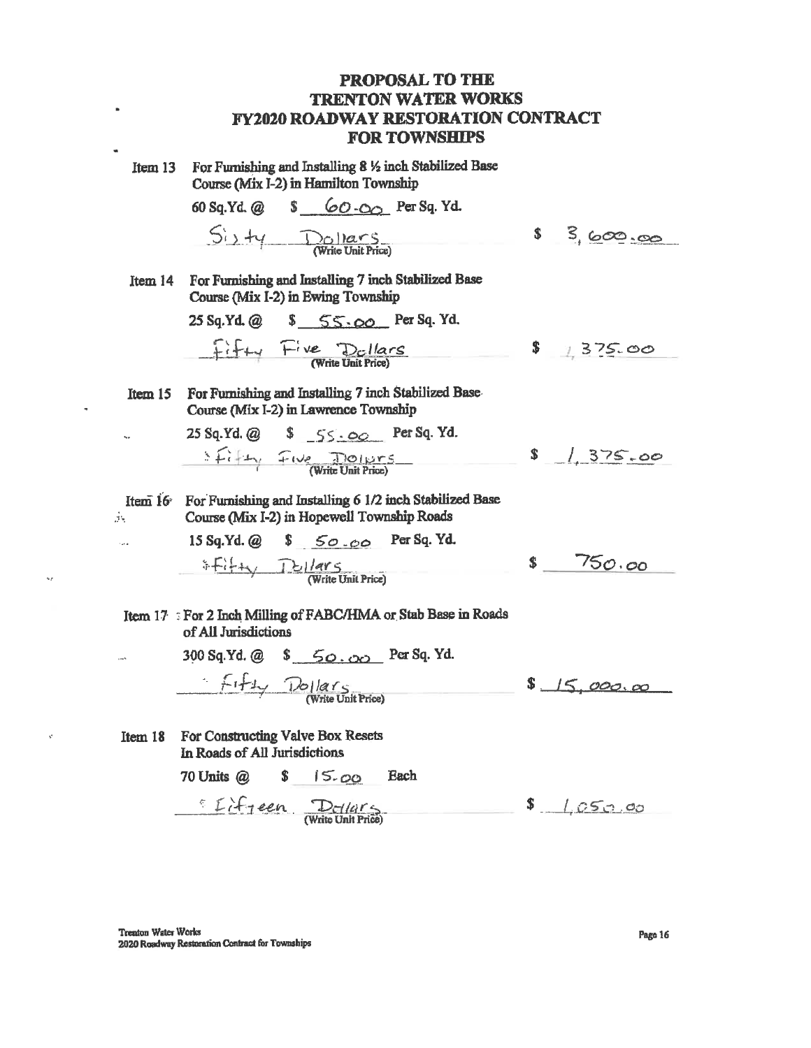For Furnishing and Installing 8 1/2 inch Stabilized Base Item 13 Course (Mix I-2) in Hamilton Township

×

60 Sq.Yd. @ \$ 60.00 Per Sq. Yd.  $S_{i}$   $\frac{1}{\sqrt{N}}$  Mars  $s = 3,600.00$ For Furnishing and Installing 7 inch Stabilized Base Item 14 Course (Mix I-2) in Ewing Township 25 Sq.Yd. @ \$ 55.00 Per Sq. Yd.  $F_{i} + \frac{F_{i}ve}{(Write Unit Price)}$  $$1375.00$ For Furnishing and Installing 7 inch Stabilized Base-Item 15 Course (Mix I-2) in Lawrence Township 25 Sq.Yd. @ \$ 55.00 Per Sq. Yd.  $S$   $\left\{ i \middle\vert x \right\}$   $T_{1} \vee e$   $\frac{\partial o_{1} \vee r_{5}}{\partial \theta}$  $$1,375.00$ Item 16 For Furnishing and Installing 6 1/2 inch Stabilized Base Эv Course (Mix I-2) in Hopewell Township Roads 15 Sq.Yd. @ \$ 50.00 Per Sq. Yd. i.  $F_{i+1}$   $D_{i}/arg$ <br>(Write Unit Price)  $$750.00$ Item 17 For 2 Inch Milling of FABC/HMA or Stab Base in Roads of All Jurisdictions 300 Sq.Yd. @ \$ 50.00 Per Sq. Yd. Fifty Dollars  $$15,000,00$ For Constructing Valve Box Resets Item 18 In Roads of All Jurisdictions

 $$15.00$ 70 Units  $(a)$ Each

 $\Sigma f$  if  $\tau$  een  $D_f/(f)$ 

 $$1.050.00$ 

**Trenton Water Works** 2020 Roadway Restoration Contract for Townships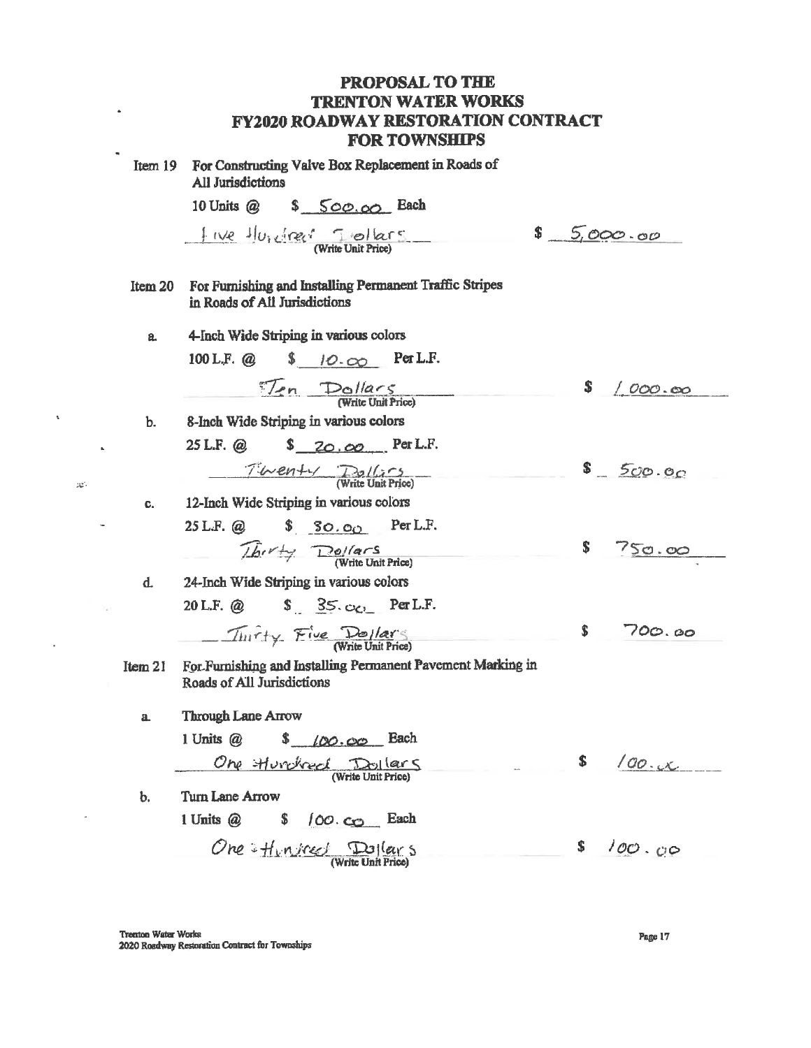| Item $19$ | For Constructing Valve Box Replacement in Roads of<br>All Jurisdictions                                                                                                                                                                                                                                                              |               |
|-----------|--------------------------------------------------------------------------------------------------------------------------------------------------------------------------------------------------------------------------------------------------------------------------------------------------------------------------------------|---------------|
|           | 10 Units @ \$ 500.00 Bach                                                                                                                                                                                                                                                                                                            |               |
|           | $\mathbf{s}$<br>$f(x)e^{-1}U_1 \underbrace{Gee}$ Tellers                                                                                                                                                                                                                                                                             | 5,000.00      |
| Item 20   | For Furnishing and Installing Permanent Traffic Stripes<br>in Roads of All Jurisdictions                                                                                                                                                                                                                                             |               |
| a.        | 4-Inch Wide Striping in various colors                                                                                                                                                                                                                                                                                               |               |
|           | $$10.00$ Per L.F.<br>$100$ L.F. $@$                                                                                                                                                                                                                                                                                                  |               |
|           | $\frac{1}{\sqrt{2n}}$ Dollars                                                                                                                                                                                                                                                                                                        | $\int 000.00$ |
| b.        | 8-Inch Wide Striping in various colors                                                                                                                                                                                                                                                                                               |               |
|           | $$20.00$ Per L.F.<br>$25$ L.F. $\omega$                                                                                                                                                                                                                                                                                              |               |
|           | $Time$ $Time$                                                                                                                                                                                                                                                                                                                        | \$500.00      |
| C.        | 12-Inch Wide Striping in various colors                                                                                                                                                                                                                                                                                              |               |
|           | 25 L.F. @ \$ 30.00 Per L.F.                                                                                                                                                                                                                                                                                                          |               |
|           | $\sqrt{b}$ $\sqrt{4}$ $\sqrt{8}$ $\sqrt{8}$ (Write Unit Price)                                                                                                                                                                                                                                                                       | \$.<br>750.00 |
| d.        | 24-Inch Wide Striping in various colors                                                                                                                                                                                                                                                                                              |               |
|           | 20 L.F. @ $\qquad$ $\qquad$ $\qquad$ $\qquad$ $\qquad$ $\qquad$ $\qquad$ $\qquad$ $\qquad$ $\qquad$ $\qquad$ $\qquad$ $\qquad$ $\qquad$ $\qquad$ $\qquad$ $\qquad$ $\qquad$ $\qquad$ $\qquad$ $\qquad$ $\qquad$ $\qquad$ $\qquad$ $\qquad$ $\qquad$ $\qquad$ $\qquad$ $\qquad$ $\qquad$ $\qquad$ $\qquad$ $\qquad$ $\qquad$ $\qquad$ |               |
|           | Thirty Five Dollars                                                                                                                                                                                                                                                                                                                  | \$<br>700.00  |
| Item 21   | For Furnishing and Installing Permanent Pavement Marking in<br>Roads of All Jurisdictions                                                                                                                                                                                                                                            |               |
| a         | <b>Through Lane Arrow</b>                                                                                                                                                                                                                                                                                                            |               |
|           | $100.00$ Each<br>\$<br>1 Units $@$                                                                                                                                                                                                                                                                                                   |               |
|           | <u>One Hurrised</u>                                                                                                                                                                                                                                                                                                                  | \$<br>100.4   |
| b.        | Turn Lane Arrow                                                                                                                                                                                                                                                                                                                      |               |
|           | 1 Units @<br>\$<br>$100 \text{ }$ co Each                                                                                                                                                                                                                                                                                            |               |
|           | One: $H_{unifrec}$ $\frac{Dq}{(Wrtte Unit Fric)}$                                                                                                                                                                                                                                                                                    | \$<br>100.00  |

Trenton Water Works 2020 Roadway Restoration Contract for Townships

 $\hat{\phantom{a}}$ 

 $\bar{\mathbf{x}}$ 

Ŷ.

 $\Delta$ 

 $\sim$ 

 $\sim 100$ 

L.

 $\langle 3 \mathfrak{S}^2 \rangle$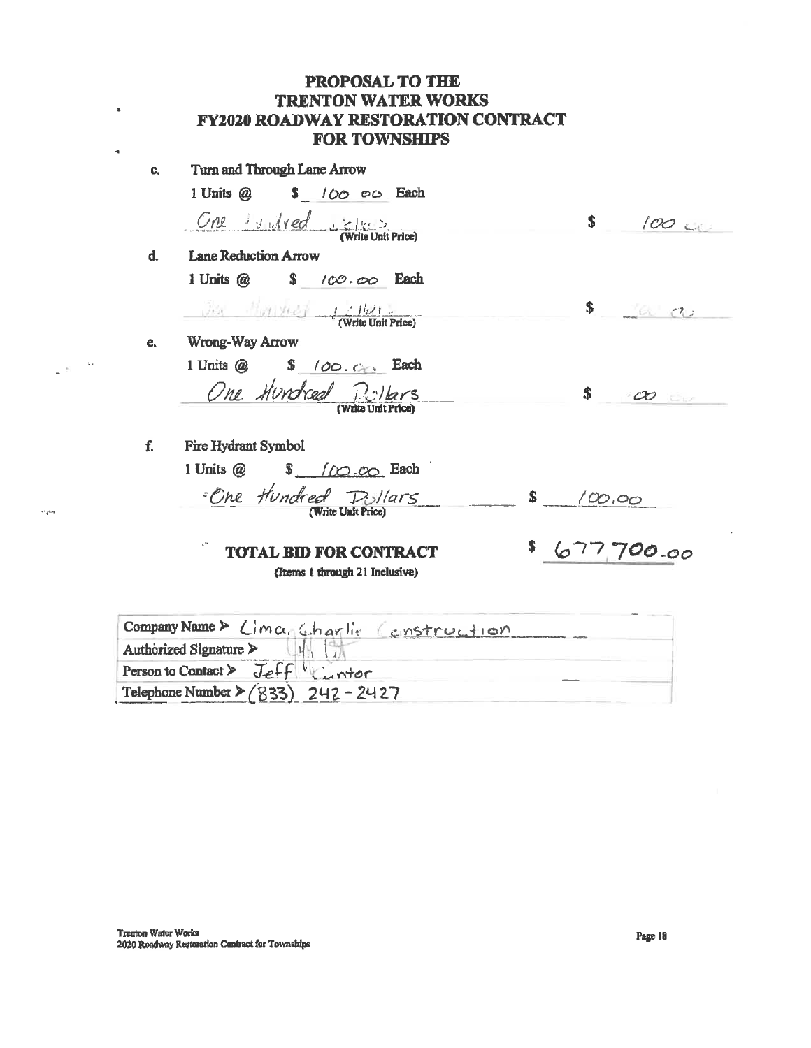| C. | Turn and Through Lane Arrow                                      |                        |
|----|------------------------------------------------------------------|------------------------|
|    | 1 Units @ \$ 100 00 Each                                         |                        |
|    | One widred sales<br>(Write Unit Price)                           | S<br>100               |
| d. | <b>Lane Reduction Arrow</b>                                      |                        |
|    | 1 Units @ \$ 100.00 Each                                         |                        |
|    | $\frac{1}{\sqrt{2}}$ Multiple $\frac{1}{\sqrt{2}}$               | \$<br>a a              |
| e. | Wrong-Way Arrow                                                  |                        |
|    | 1 Units @ \$ 100.000 Each                                        |                        |
|    | One Hundred Pillars                                              | Ŝ<br>$\infty$          |
|    |                                                                  |                        |
| f. | <b>Fire Hydrant Symbol</b>                                       |                        |
|    | 1 Units @ $\qquad \qquad \frac{\sqrt{00.00}}{\sqrt{00.00}}$ Each |                        |
|    | ·One Hundred Pollars<br>(Write Unit Price)                       | $\mathbf{s}$<br>100,00 |
|    | $\cdot$<br><b>TOTAL BID FOR CONTRACT</b>                         | 677,700.00             |
|    | (Items 1 through 21 Inclusive)                                   |                        |

| Company Name> LimanGharlie Construction |  |
|-----------------------------------------|--|
| Authorized Signature $\triangleright$   |  |
| Person to Contact > $\text{Left}$       |  |
| Telephone Number > $(833)$ 242 - 2427   |  |

 $\bullet$ 

 $\mathbf{q}$ 

 $\frac{1}{2}$  is  $\frac{1}{2}$ 

 $\alpha_{\rm DM}$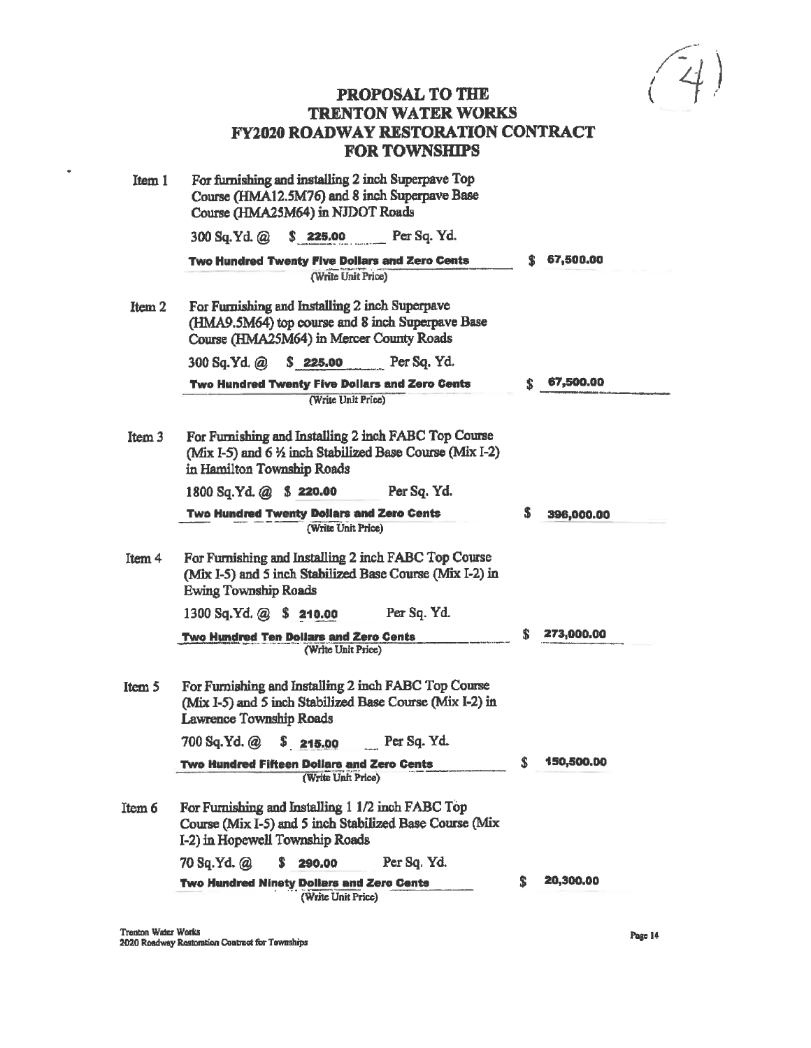$\sqrt{4}$ 

| Item 1 | For furnishing and installing 2 inch Superpave Top<br>Course (HMA12.5M76) and 8 inch Superpave Base<br>Course (HMA25M64) in NJDOT Roads         |    |            |
|--------|-------------------------------------------------------------------------------------------------------------------------------------------------|----|------------|
|        | 300 Sq. Yd. @ \$ 225.00 Per Sq. Yd.                                                                                                             |    |            |
|        | Two Hundred Twenty Five Dollars and Zero Cents<br>(Write Unit Price)                                                                            | S  | 67,500.00  |
| Item 2 | For Furnishing and Installing 2 inch Superpave<br>(HMA9.5M64) top course and 8 inch Superpave Base<br>Course (HMA25M64) in Mercer County Roads  |    |            |
|        | 300 Sq.Yd. @ \$ 225.00 Per Sq. Yd.                                                                                                              |    |            |
|        | Two Hundred Twenty Five Dollars and Zero Cents                                                                                                  | S. | 67,500.00  |
|        | (Write Unit Price)                                                                                                                              |    |            |
| Item 3 | For Furnishing and Installing 2 inch FABC Top Course<br>(Mix I-5) and 6 1/2 inch Stabilized Base Course (Mix I-2)<br>in Hamilton Township Roads |    |            |
|        | Per Sq. Yd.<br>1800 Sq.Yd. @ \$ 220.00                                                                                                          |    |            |
|        | <b>Two Hundred Twenty Dollars and Zero Cents</b><br>(Write Unit Price)                                                                          | 5  | 396,000.00 |
| Item 4 | For Furnishing and Installing 2 inch FABC Top Course<br>(Mix I-5) and 5 inch Stabilized Base Course (Mix I-2) in<br><b>Ewing Township Roads</b> |    |            |
|        | 1300 Sq.Yd. @ \$ 210.00<br>Per Sq. Yd.                                                                                                          |    |            |
|        | Two Hundred Ten Dollars and Zero Cents<br>(Write Unit Price)                                                                                    | S. | 273,000.00 |
| Item 5 | For Furnishing and Installing 2 inch FABC Top Course<br>(Mix I-5) and 5 inch Stabilized Base Course (Mix I-2) in<br>Lawrence Township Roads     |    |            |
|        | 700 Sq.Yd. @ \$ 215.00 Per Sq. Yd.                                                                                                              |    |            |
|        | Two Hundred Fifteen Dollars and Zero Cents<br>(Write Unit Price)                                                                                | \$ | 150,500.00 |
| Item 6 | For Furnishing and Installing 1 1/2 inch FABC Top<br>Course (Mix I-5) and 5 inch Stabilized Base Course (Mix<br>I-2) in Hopewell Township Roads |    |            |
|        | Per Sq. Yd.<br>70 Sq.Yd. @<br>s.<br>290,00                                                                                                      |    |            |
|        | <b>Two Hundred Ninety Dollars and Zero Cents</b><br>(Write Unit Price)                                                                          | S  | 20,300.00  |

 $\bullet$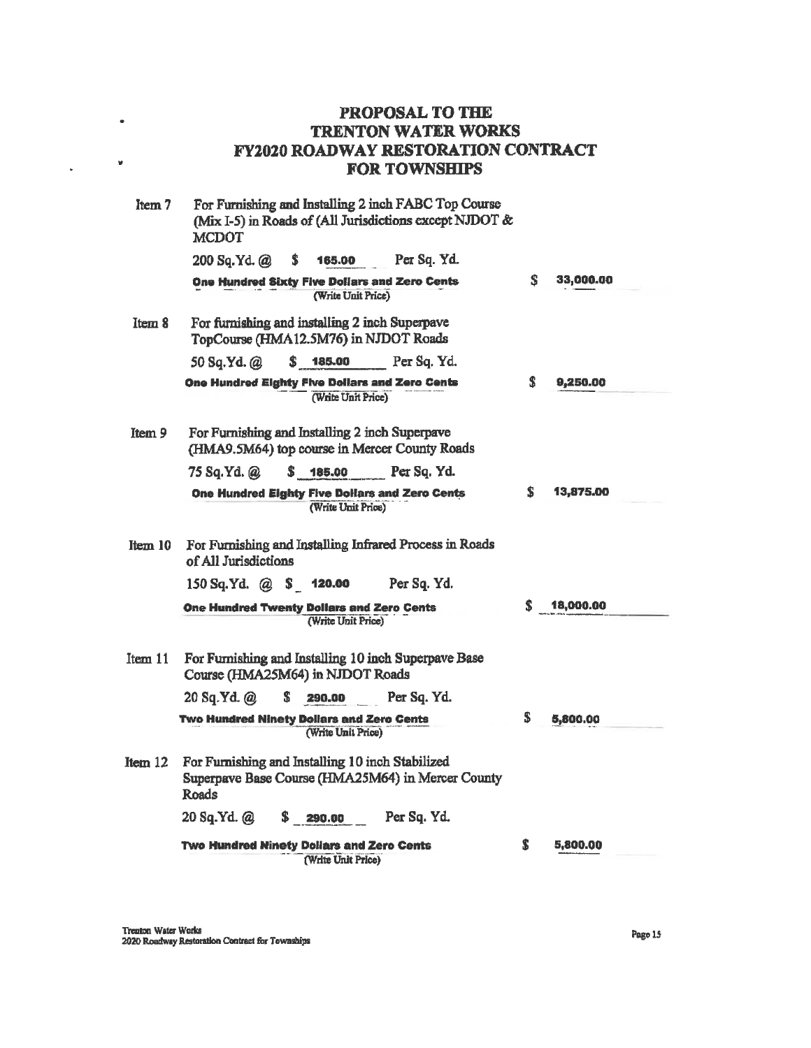| Item 7  | For Furnishing and Installing 2 inch FABC Top Course<br>(Mix I-5) in Roads of (All Jurisdictions except NJDOT &<br><b>MCDOT</b> |    |           |
|---------|---------------------------------------------------------------------------------------------------------------------------------|----|-----------|
|         | Per Sq. Yd.<br>200 Sq.Yd. @<br>5<br>165.00                                                                                      |    |           |
|         | One Hundred Sixty Five Dollars and Zero Cents<br>(Write Unit Price)                                                             | S  | 33,000.00 |
| Item 8  | For furnishing and installing 2 inch Superpave<br>TopCourse (HMA12.5M76) in NJDOT Roads                                         |    |           |
|         | \$ 185.00<br>Per Sq. Yd.<br>50 Sq.Yd. @                                                                                         |    |           |
|         | One Hundred Eighty Five Dollars and Zero Cents<br>(Write Unit Price)                                                            | S  | 9,250.00  |
| Item 9  | For Furnishing and Installing 2 inch Superpave<br>(HMA9.5M64) top course in Mercer County Roads                                 |    |           |
|         | 75 Sq.Yd. @<br>\$ 185.00<br>Per Sq. Yd.                                                                                         |    |           |
|         | One Hundred Eighty Five Dollars and Zero Cents<br>(Write Unit Price)                                                            | S  | 13,875.00 |
| Item 10 | For Furnishing and Installing Infrared Process in Roads<br>of All Jurisdictions                                                 |    |           |
|         | $150$ Sq.Yd. @ \$ 120.00<br>Per Sq. Yd.                                                                                         |    |           |
|         | <b>One Hundred Twenty Dollars and Zero Cents</b><br>(Write Unit Price)                                                          | \$ | 18,000.00 |
| Item 11 | For Furnishing and Installing 10 inch Superpave Base<br>Course (HMA25M64) in NJDOT Roads                                        |    |           |
|         | 20 Sq.Yd. @<br>S<br>Per Sq. Yd.<br>290.00                                                                                       |    |           |
|         | Two Hundred Ninety Dollars and Zero Cents<br>(Write Unit Price)                                                                 | \$ | 5,800.00  |
| Item 12 | For Furnishing and Installing 10 inch Stabilized<br>Superpave Base Course (HMA25M64) in Mercer County<br>Roads                  |    |           |
|         | Per Sq. Yd.<br>20 Sq.Yd. @<br>$\frac{1}{2}$ 290.00                                                                              |    |           |
|         | <b>Two Hundred Ninety Dollars and Zero Cents</b><br>(Write Unit Price)                                                          | S  | 5,800.00  |

 $\bullet$ 

 $\mathcal{L}^{\text{max}}$ 

 $\bar{\star}$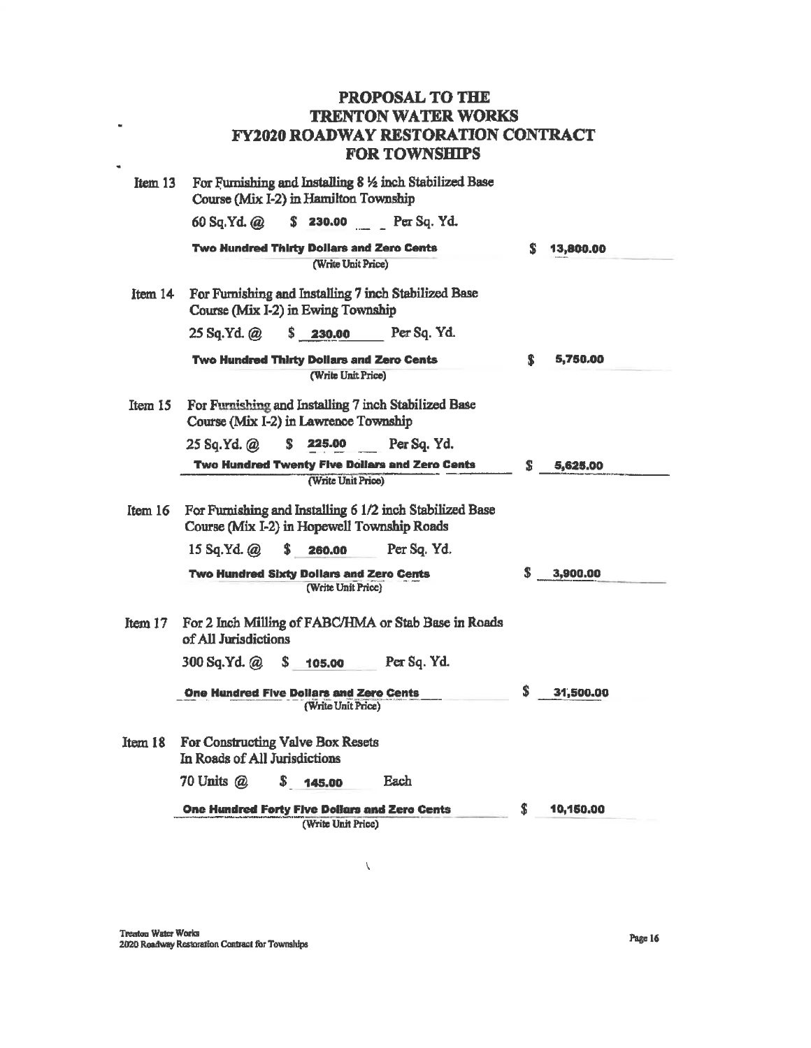| Item 13 |                                                                    | Course (Mix I-2) in Hamilton Township                                 | For Furnishing and Installing 8 % inch Stabilized Base   |    |           |
|---------|--------------------------------------------------------------------|-----------------------------------------------------------------------|----------------------------------------------------------|----|-----------|
|         | 60 Sa.Yd. @                                                        |                                                                       | $$230.00$ Per Sq. Yd.                                    |    |           |
|         |                                                                    | Two Hundred Thirty Dollars and Zero Cents                             |                                                          | S  | 13,800.00 |
|         |                                                                    | (Write Unit Price)                                                    |                                                          |    |           |
| Item 14 |                                                                    | Course (Mix I-2) in Ewing Township                                    | For Furnishing and Installing 7 inch Stabilized Base     |    |           |
|         | 25 Sq.Yd. @                                                        | S<br>230.00                                                           | Per Sq. Yd.                                              |    |           |
|         |                                                                    | Two Hundred Thirty Dollars and Zero Cents                             |                                                          | S. | 5,750.00  |
|         |                                                                    | (Write Unit Price)                                                    |                                                          |    |           |
| Item 15 |                                                                    | Course (Mix I-2) in Lawrence Township                                 | For Furnishing and Installing 7 inch Stabilized Base     |    |           |
|         | 25 Sq.Yd. @                                                        | 225.00<br>S.                                                          | Per Sq. Yd.                                              |    |           |
|         |                                                                    |                                                                       | Two Hundred Twenty Five Dollars and Zero Cents           | s  | 5,625.00  |
|         |                                                                    | (Write Unit Price)                                                    |                                                          |    |           |
| Item 16 | Course (Mix I-2) in Hopewell Township Roads                        |                                                                       | For Furnishing and Installing 6 1/2 inch Stabilized Base |    |           |
|         | $15$ Sq.Yd. $@$                                                    | S.<br>260.00                                                          | Per Sq. Yd.                                              |    |           |
|         |                                                                    | <b>Two Hundred Sixty Dollars and Zero Cents</b><br>(Write Unit Price) |                                                          | S. | 3,900,00  |
| Item 17 | of All Jurisdictions                                               |                                                                       | For 2 Inch Milling of FABC/HMA or Stab Base in Roads     |    |           |
|         | 300 Sq.Yd. @                                                       | S.<br>105.00                                                          | Per Sq. Yd.                                              |    |           |
|         | <b>One Hundred Five Dollars and Zero Cents</b>                     | (Write Unit Price)                                                    |                                                          | \$ | 31,500,00 |
| Item 18 | For Constructing Valve Box Resets<br>In Roads of All Jurisdictions |                                                                       |                                                          |    |           |
|         | 70 Units @                                                         | S.<br>145.00                                                          | Each                                                     |    |           |
|         | One Hundred Forty Five Dollars and Zero Cents                      | (Write Unit Price)                                                    |                                                          | \$ | 10,150.00 |

 $\bar{\chi}$ 

 $\bar{a}$ 

 $\ddot{\phantom{a}}$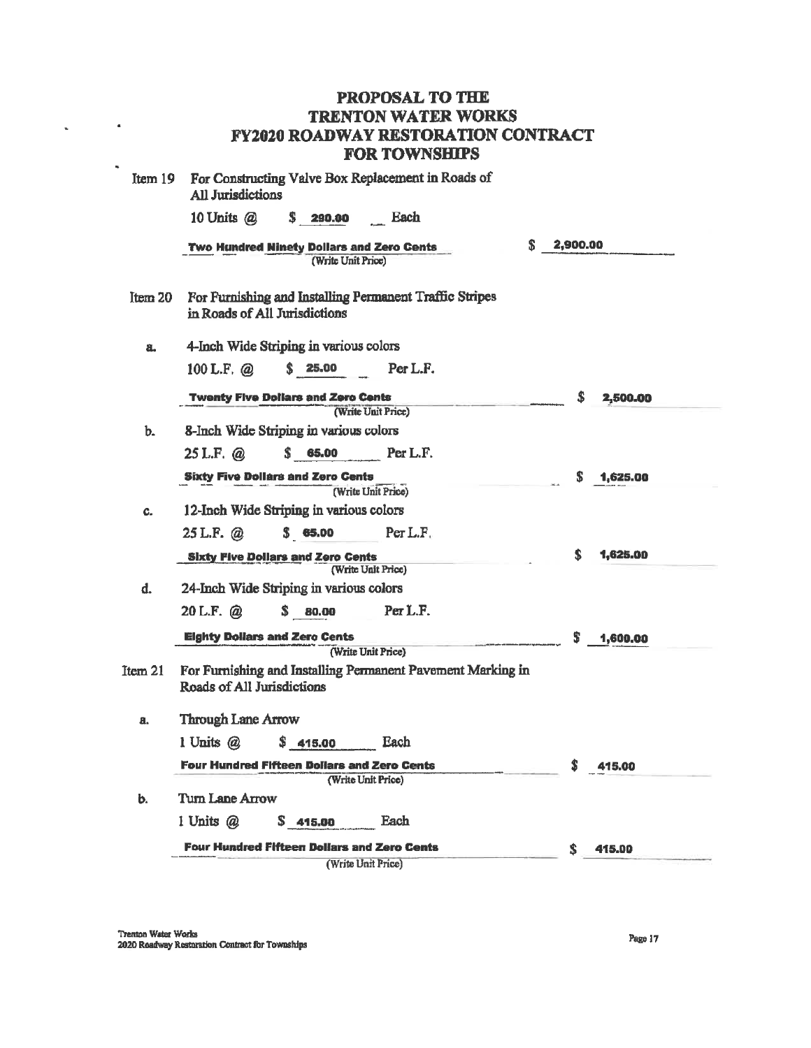| Item 19 | For Constructing Valve Box Replacement in Roads of<br><b>All Jurisdictions</b>                                  |            |          |
|---------|-----------------------------------------------------------------------------------------------------------------|------------|----------|
|         | 10 Units $(a)$<br>\$290.00<br>Each                                                                              |            |          |
|         | Two Hundred Ninety Dollars and Zero Cents<br>(Write Unit Price)                                                 | \$2,900.00 |          |
| Item 20 | For Furnishing and Installing Permanent Traffic Stripes<br>in Roads of All Jurisdictions                        |            |          |
| a.      | 4-Inch Wide Striping in various colors                                                                          |            |          |
|         | 100 L.F. @ \$ 25.00 Per L.F.                                                                                    |            |          |
|         | <b>Twenty Five Dollars and Zero Cents</b>                                                                       | \$         | 2,500.00 |
| b.      | (Write Unit Price)<br>8-Inch Wide Striping in various colors                                                    |            |          |
|         | 25 L.F. @ \$ 65.00 Per L.F.                                                                                     |            |          |
|         | <b>Sixty Five Dollars and Zero Cents</b>                                                                        | \$         | 1,625.00 |
|         | (Write Unit Price)                                                                                              |            |          |
| C.      | 12-Inch Wide Striping in various colors                                                                         |            |          |
|         | 25 L.F. $\omega$ \$ 65.00 Per L.F.                                                                              |            |          |
|         | <b>Sixty Five Dollars and Zero Cents</b>                                                                        | S          | 1,625.00 |
|         | (Write Unit Price)                                                                                              |            |          |
| d.      | 24-Inch Wide Striping in various colors                                                                         |            |          |
|         | \$ 80.00 Per L.F.<br>$20$ L.F. $\omega$                                                                         |            |          |
|         | <b>Eighty Dollars and Zero Cents</b>                                                                            | s          | 1,600,00 |
| Item 21 | (Write Unit Price)<br>For Furnishing and Installing Permanent Pavement Marking in<br>Roads of All Jurisdictions |            |          |
| a.      | <b>Through Lane Arrow</b>                                                                                       |            |          |
|         | 1 Units @<br>Each<br>\$415.00                                                                                   |            |          |
|         | <b>Four Hundred Fifteen Dollars and Zero Cents</b>                                                              |            | 415.00   |
|         | (Write Unit Price)                                                                                              |            |          |
| b.      | Turn Lane Arrow                                                                                                 |            |          |
|         | 1 Units @<br>Each<br>\$415.00                                                                                   |            |          |
|         | <b>Four Hundred Fifteen Dollars and Zero Cents</b>                                                              | Ŝ.         | 415.00   |
|         | (Write Unit Price)                                                                                              |            |          |

 $\omega_{\rm{max}}=0.0000$ 

÷.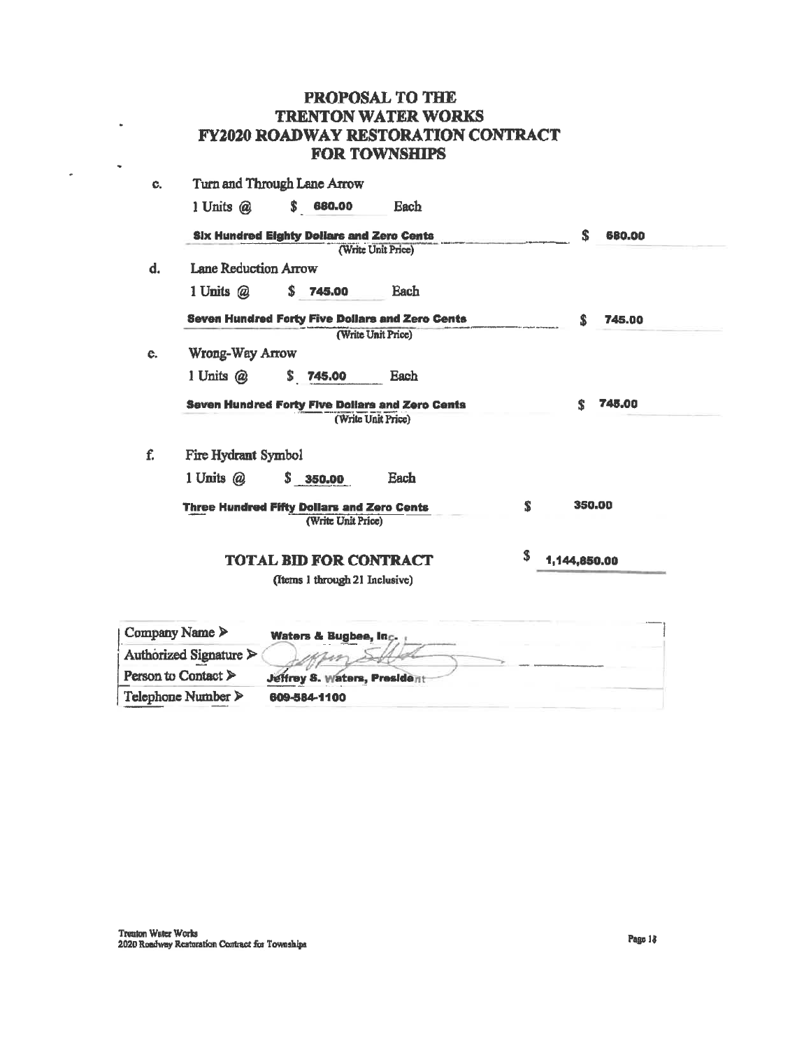| PROPOSAL TO THE                            |
|--------------------------------------------|
| <b>TRENTON WATER WORKS</b>                 |
| <b>FY2020 ROADWAY RESTORATION CONTRACT</b> |
| <b>FOR TOWNSHIPS</b>                       |

| C. |                              | Turn and Through Lane Arrow                                             |                    |    |              |  |
|----|------------------------------|-------------------------------------------------------------------------|--------------------|----|--------------|--|
|    | 1 Units $@$                  | \$680.00                                                                | Each               |    |              |  |
|    |                              | <b>Six Hundred Eighty Dollars and Zero Cents</b>                        |                    |    | S<br>680.00  |  |
|    |                              |                                                                         | (Write Unit Price) |    |              |  |
| d. | <b>Lane Reduction Arrow</b>  |                                                                         |                    |    |              |  |
|    | 1 Units @                    | \$.<br>745,00                                                           | Each               |    |              |  |
|    |                              | <b>Seven Hundred Forty Five Dollars and Zero Cents</b>                  |                    |    | s.<br>745.00 |  |
|    |                              |                                                                         | (Write Unit Price) |    |              |  |
| e. | Wrong-Way Arrow              |                                                                         |                    |    |              |  |
|    | 1 Units @                    | \$.<br>745,00                                                           | Each               |    |              |  |
|    |                              | <b>Seven Hundred Forty Five Dollars and Zero Cents</b>                  |                    |    | 745.00<br>\$ |  |
|    |                              |                                                                         | (Write Unit Price) |    |              |  |
| f. | Fire Hydrant Symbol          |                                                                         |                    |    |              |  |
|    | 1 Units $(a)$                | \$350.00                                                                | Each               |    |              |  |
|    |                              | <b>Three Hundred Fifty Dollars and Zero Cents</b><br>(Write Unit Price) |                    | S. | 350.00       |  |
|    |                              | <b>TOTAL BID FOR CONTRACT</b>                                           |                    | S  | 1,144,850.00 |  |
|    |                              | (Items 1 through 21 Inclusive)                                          |                    |    |              |  |
|    | ompany Name $\triangleright$ | Waters & Bugbee, Inc.                                                   |                    |    |              |  |

| Company Name $\triangleright$          | Waters & Bugbee, Inc.               |
|----------------------------------------|-------------------------------------|
| Authorized Signature $\rightharpoonup$ |                                     |
| Person to Contact $\triangleright$     | <b>Jeffrey S. Waters, President</b> |
| Telephone Number $\triangleright$      | 609-584-1100                        |

 $\sim$ 

 $\frac{1}{2}$